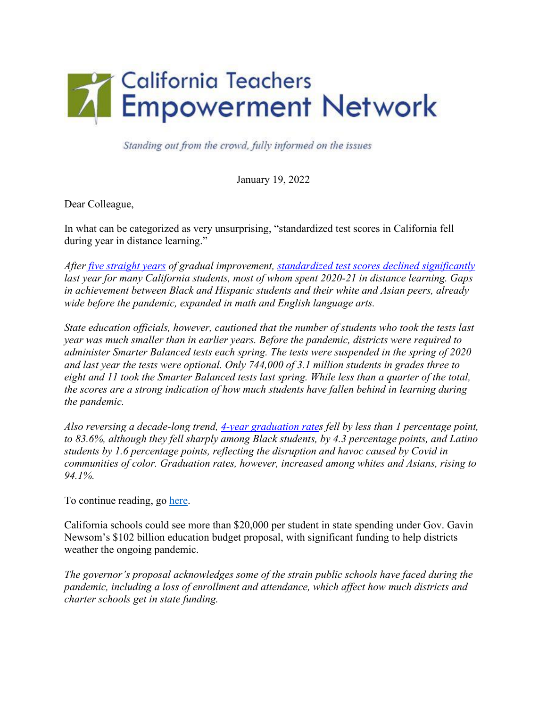

Standing out from the crowd, fully informed on the issues

January 19, 2022

Dear Colleague,

In what can be categorized as very unsurprising, "standardized test scores in California fell during year in distance learning."

*After [five straight years](https://edsource.org/2019/slow-growth-big-disparities-after-5-years-of-smarter-balanced-tests/618328) of gradual improvement, [standardized test scores declined significantly](https://caaspp-elpac.cde.ca.gov/caaspp/DashViewReportSB?ps=true&lstTestYear=2021&lstTestType=B&lstGroup=1&lstSubGroup=1&lstSchoolType=A&lstGrade=13&lstCounty=00&lstDistrict=00000&lstSchool=0000000) last year for many California students, most of whom spent 2020-21 in distance learning. Gaps in achievement between Black and Hispanic students and their white and Asian peers, already wide before the pandemic, expanded in math and English language arts.* 

*State education officials, however, cautioned that the number of students who took the tests last year was much smaller than in earlier years. Before the pandemic, districts were required to administer Smarter Balanced tests each spring. The tests were suspended in the spring of 2020 and last year the tests were optional. Only 744,000 of 3.1 million students in grades three to eight and 11 took the Smarter Balanced tests last spring. While less than a quarter of the total, the scores are a strong indication of how much students have fallen behind in learning during the pandemic.* 

*Also reversing a decade-long trend, [4-year graduation rates](https://www.cde.ca.gov/ds/ad/datasummary.asp) fell by less than 1 percentage point, to 83.6%, although they fell sharply among Black students, by 4.3 percentage points, and Latino students by 1.6 percentage points, reflecting the disruption and havoc caused by Covid in communities of color. Graduation rates, however, increased among whites and Asians, rising to 94.1%.* 

To continue reading, go [here.](https://edsource.org/2022/standardized-test-scores-in-california-fell-during-year-in-distance-learning/665487)

California schools could see more than \$20,000 per student in state spending under Gov. Gavin Newsom's \$102 billion education budget proposal, with significant funding to help districts weather the ongoing pandemic.

*The governor's proposal acknowledges some of the strain public schools have faced during the pandemic, including a loss of enrollment and attendance, which affect how much districts and charter schools get in state funding.*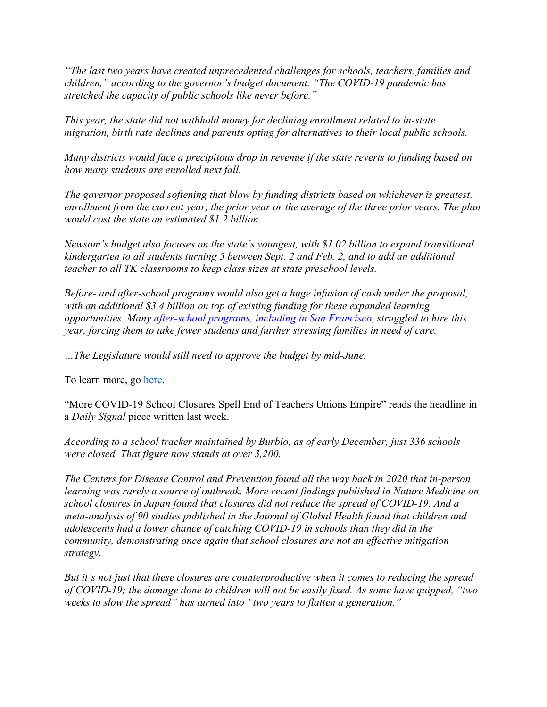*"The last two years have created unprecedented challenges for schools, teachers, families and children," according to the governor's budget document. "The COVID-19 pandemic has stretched the capacity of public schools like never before."*

*This year, the state did not withhold money for declining enrollment related to in-state migration, birth rate declines and parents opting for alternatives to their local public schools.* 

*Many districts would face a precipitous drop in revenue if the state reverts to funding based on how many students are enrolled next fall.* 

*The governor proposed softening that blow by funding districts based on whichever is greatest: enrollment from the current year, the prior year or the average of the three prior years. The plan would cost the state an estimated \$1.2 billion.* 

*Newsom's budget also focuses on the state's youngest, with \$1.02 billion to expand transitional kindergarten to all students turning 5 between Sept. 2 and Feb. 2, and to add an additional teacher to all TK classrooms to keep class sizes at state preschool levels.* 

*Before- and after-school programs would also get a huge infusion of cash under the proposal, with an additional \$3.4 billion on top of existing funding for these expanded learning opportunities. Many [after-school programs, including in San Francisco,](https://www.sfchronicle.com/sf/bayarea/heatherknight/article/Freaking-out-S-F-aftercare-crisis-has-16353676.php) struggled to hire this year, forcing them to take fewer students and further stressing families in need of care.* 

*…The Legislature would still need to approve the budget by mid-June.* 

To learn more, go [here.](https://www.sfchronicle.com/bayarea/article/California-schools-would-see-21-000-per-student-16764411.php)

"More COVID-19 School Closures Spell End of Teachers Unions Empire" reads the headline in a *Daily Signal* piece written last week.

*According to a school tracker maintained by Burbio, as of early December, just 336 schools were closed. That figure now stands at over 3,200.* 

*The Centers for Disease Control and Prevention found all the way back in 2020 that in-person learning was rarely a source of outbreak. More recent findings published in Nature Medicine on school closures in Japan found that closures did not reduce the spread of COVID-19. And a meta-analysis of 90 studies published in the Journal of Global Health found that children and adolescents had a lower chance of catching COVID-19 in schools than they did in the community, demonstrating once again that school closures are not an effective mitigation strategy.* 

*But it's not just that these closures are counterproductive when it comes to reducing the spread of COVID-19; the damage done to children will not be easily fixed. As some have quipped, "two weeks to slow the spread" has turned into "two years to flatten a generation."*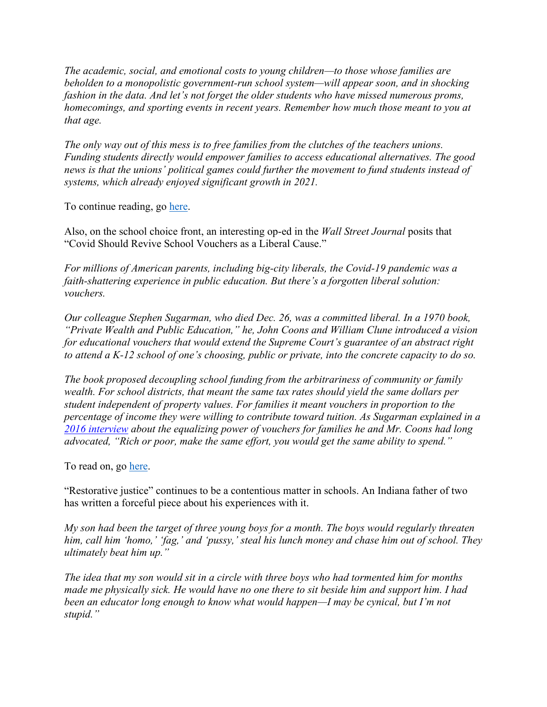*The academic, social, and emotional costs to young children—to those whose families are beholden to a monopolistic government-run school system—will appear soon, and in shocking fashion in the data. And let's not forget the older students who have missed numerous proms, homecomings, and sporting events in recent years. Remember how much those meant to you at that age.* 

*The only way out of this mess is to free families from the clutches of the teachers unions. Funding students directly would empower families to access educational alternatives. The good news is that the unions' political games could further the movement to fund students instead of systems, which already enjoyed significant growth in 2021.* 

To continue reading, go [here.](https://www.dailysignal.com/2022/01/10/more-covid-19-school-closures-spell-the-end-of-teachers-unions-empire/)

Also, on the school choice front, an interesting op-ed in the *Wall Street Journal* posits that "Covid Should Revive School Vouchers as a Liberal Cause."

*For millions of American parents, including big-city liberals, the Covid-19 pandemic was a faith-shattering experience in public education. But there's a forgotten liberal solution: vouchers.* 

*Our colleague Stephen Sugarman, who died Dec. 26, was a committed liberal. In a 1970 book, "Private Wealth and Public Education," he, John Coons and William Clune introduced a vision for educational vouchers that would extend the Supreme Court's guarantee of an abstract right to attend a K-12 school of one's choosing, public or private, into the concrete capacity to do so.* 

*The book proposed decoupling school funding from the arbitrariness of community or family wealth. For school districts, that meant the same tax rates should yield the same dollars per student independent of property values. For families it meant vouchers in proportion to the percentage of income they were willing to contribute toward tuition. As Sugarman explained in a [2016 interview](https://digitalassets.lib.berkeley.edu/roho/ucb/text/sugarman_stephen_2016.pdf) about the equalizing power of vouchers for families he and Mr. Coons had long advocated, "Rich or poor, make the same effort, you would get the same ability to spend."*

To read on, go [here.](https://www.wsj.com/articles/covid-should-revive-school-vouchers-as-a-liberal-cause-education-equal-access-11641242963)

"Restorative justice" continues to be a contentious matter in schools. An Indiana father of two has written a forceful piece about his experiences with it.

*My son had been the target of three young boys for a month. The boys would regularly threaten him, call him 'homo,' 'fag,' and 'pussy,' steal his lunch money and chase him out of school. They ultimately beat him up."*

*The idea that my son would sit in a circle with three boys who had tormented him for months made me physically sick. He would have no one there to sit beside him and support him. I had been an educator long enough to know what would happen—I may be cynical, but I'm not stupid."*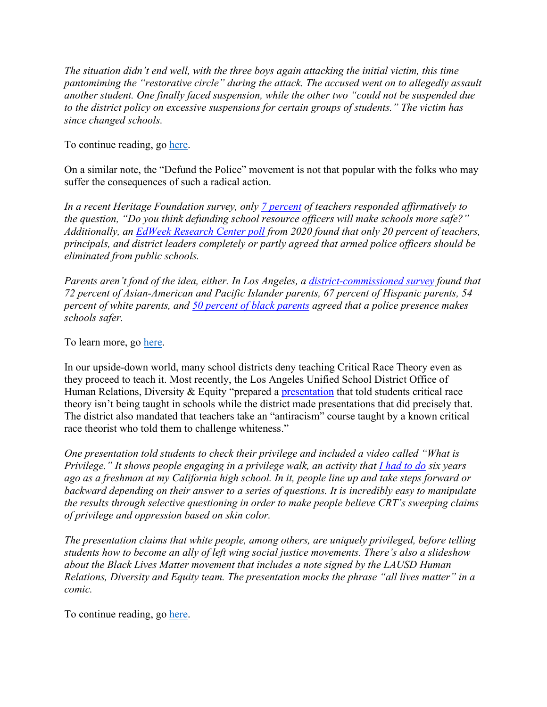*The situation didn't end well, with the three boys again attacking the initial victim, this time pantomiming the "restorative circle" during the attack. The accused went on to allegedly assault another student. One finally faced suspension, while the other two "could not be suspended due to the district policy on excessive suspensions for certain groups of students." The victim has since changed schools.* 

To continue reading, go [here.](https://thechalkboardreview.com/latest/restorative-justice-failures)

On a similar note, the "Defund the Police" movement is not that popular with the folks who may suffer the consequences of such a radical action.

*In a recent Heritage Foundation survey, only [7 percent](https://www.heritage.org/education/report/political-opinions-k-12-teachers-results-nationally-representative-survey) of teachers responded affirmatively to the question, "Do you think defunding school resource officers will make schools more safe?" Additionally, an [EdWeek Research Center poll](https://www.edweek.org/leadership/educators-support-black-lives-matter-but-still-want-police-in-schools-survey-shows/2020/06) from 2020 found that only 20 percent of teachers, principals, and district leaders completely or partly agreed that armed police officers should be eliminated from public schools.* 

*Parents aren't fond of the idea, either. In Los Angeles, a [district-commissioned survey](https://californiaglobe.com/fr/los-angeles-school-board-to-fire-133-police-officers-in-favor-of-climate-coach-program/) found that 72 percent of Asian-American and Pacific Islander parents, 67 percent of Hispanic parents, 54 percent of white parents, and [50 percent of black parents](https://www.latimes.com/california/story/2021-02-16/lausd-diverting-school-police-funds-support-black-students) agreed that a police presence makes schools safer.* 

To learn more, go [here.](https://www.city-journal.org/parents-teachers-call-for-school-cops-to-return)

In our upside-down world, many school districts deny teaching Critical Race Theory even as they proceed to teach it. Most recently, the Los Angeles Unified School District Office of Human Relations, Diversity & Equity "prepared a **presentation** that told students critical race theory isn't being taught in schools while the district made presentations that did precisely that. The district also mandated that teachers take an "antiracism" course taught by a known critical race theorist who told them to challenge whiteness."

*One presentation told students to check their privilege and included a video called "What is Privilege." It shows people engaging in a privilege walk, an activity that [I had to do](https://thefdrlst.wpengine.com/2021/07/22/my-high-school-taught-me-critical-race-theory-six-years-ago-and-tried-to-reeducate-me-when-i-fought-back/) six years ago as a freshman at my California high school. In it, people line up and take steps forward or backward depending on their answer to a series of questions. It is incredibly easy to manipulate the results through selective questioning in order to make people believe CRT's sweeping claims of privilege and oppression based on skin color.* 

*The presentation claims that white people, among others, are uniquely privileged, before telling students how to become an ally of left wing social justice movements. There's also a slideshow about the Black Lives Matter movement that includes a note signed by the LAUSD Human Relations, Diversity and Equity team. The presentation mocks the phrase "all lives matter" in a comic.* 

To continue reading, go [here.](https://thefederalist.com/2021/11/30/los-angeles-public-schools-host-critical-race-theorist-to-challenge-whiteness-while-saying-they-arent-teaching-critical-race-theory/)